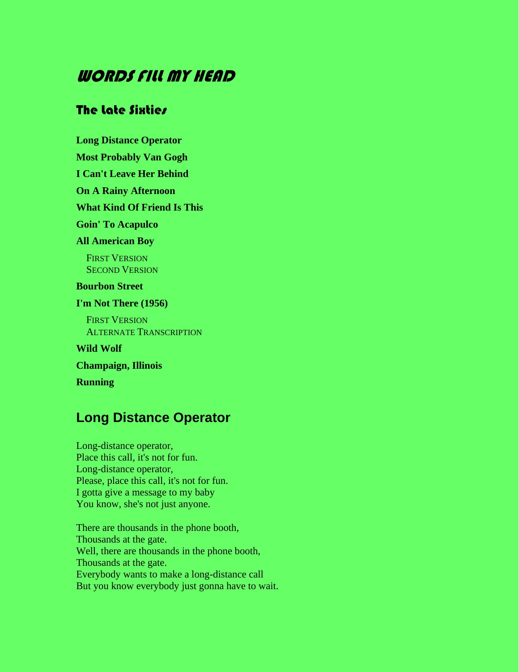# <span id="page-0-1"></span>WORDS FILL MY HEAD

### The Late Sixties

**[Long Distance Operator](#page-0-0)**

**[Most Probably Van Gogh](#page-1-0)**

**[I Can't Leave Her Behind](#page-2-0)**

**[On A Rainy Afternoon](#page-3-0)**

**[What Kind Of Friend Is This](#page-3-1)**

**[Goin' To Acapulco](#page-4-0)**

### **[All American Boy](#page-5-0)**

FIRST V[ERSION](#page-5-1) S[ECOND](#page-7-0) VERSION

### **[Bourbon Street](#page-9-0)**

**[I'm Not There \(1956\)](#page-10-0)**

FIRST V[ERSION](#page-10-1) ALTERNATE T[RANSCRIPTION](#page-11-0)

**[Wild Wolf](#page-13-0)**

**[Champaign, Illinois](#page-13-1)**

**[Running](#page-14-0)**

## <span id="page-0-0"></span>**Long Distance Operator**

Long-distance operator, Place this call, it's not for fun. Long-distance operator, Please, place this call, it's not for fun. I gotta give a message to my baby You know, she's not just anyone.

There are thousands in the phone booth, Thousands at the gate. Well, there are thousands in the phone booth, Thousands at the gate. Everybody wants to make a long-distance call But you know everybody just gonna have to wait.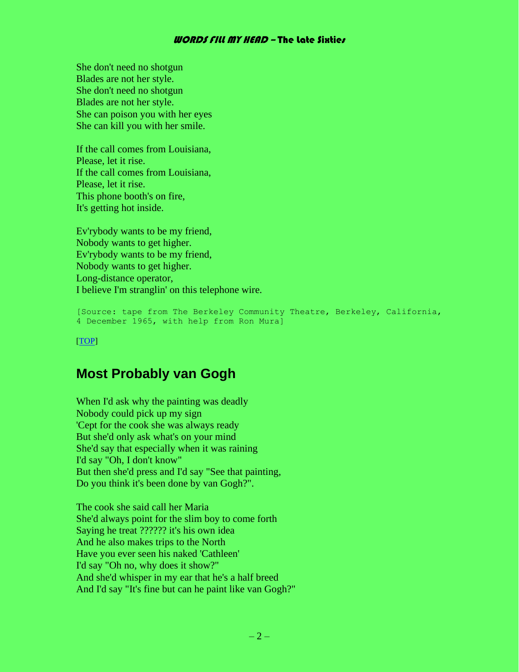She don't need no shotgun Blades are not her style. She don't need no shotgun Blades are not her style. She can poison you with her eyes She can kill you with her smile.

If the call comes from Louisiana, Please, let it rise. If the call comes from Louisiana, Please, let it rise. This phone booth's on fire, It's getting hot inside.

Ev'rybody wants to be my friend, Nobody wants to get higher. Ev'rybody wants to be my friend, Nobody wants to get higher. Long-distance operator, I believe I'm stranglin' on this telephone wire.

[Source: tape from The Berkeley Community Theatre, Berkeley, California, 4 December 1965, with help from Ron Mura]

[\[TOP\]](#page-0-1)

## <span id="page-1-0"></span>**Most Probably van Gogh**

When I'd ask why the painting was deadly Nobody could pick up my sign 'Cept for the cook she was always ready But she'd only ask what's on your mind She'd say that especially when it was raining I'd say "Oh, I don't know" But then she'd press and I'd say "See that painting, Do you think it's been done by van Gogh?".

The cook she said call her Maria She'd always point for the slim boy to come forth Saying he treat ?????? it's his own idea And he also makes trips to the North Have you ever seen his naked 'Cathleen' I'd say "Oh no, why does it show?" And she'd whisper in my ear that he's a half breed And I'd say "It's fine but can he paint like van Gogh?"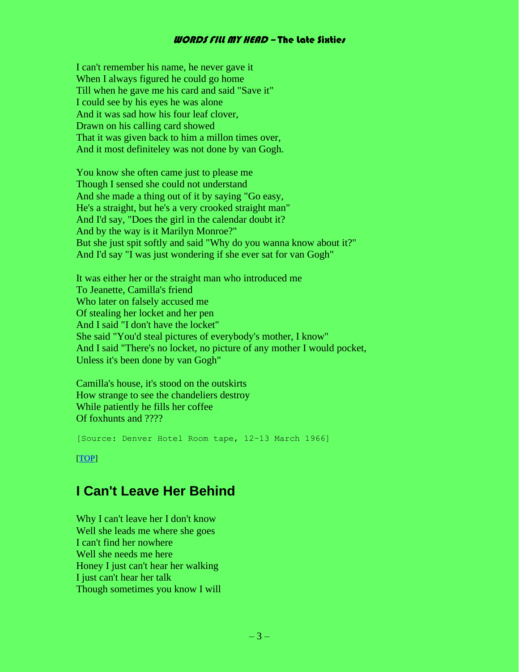I can't remember his name, he never gave it When I always figured he could go home Till when he gave me his card and said "Save it" I could see by his eyes he was alone And it was sad how his four leaf clover, Drawn on his calling card showed That it was given back to him a millon times over, And it most definiteley was not done by van Gogh.

You know she often came just to please me Though I sensed she could not understand And she made a thing out of it by saying "Go easy, He's a straight, but he's a very crooked straight man" And I'd say, "Does the girl in the calendar doubt it? And by the way is it Marilyn Monroe?" But she just spit softly and said "Why do you wanna know about it?" And I'd say "I was just wondering if she ever sat for van Gogh"

It was either her or the straight man who introduced me To Jeanette, Camilla's friend Who later on falsely accused me Of stealing her locket and her pen And I said "I don't have the locket" She said "You'd steal pictures of everybody's mother, I know" And I said "There's no locket, no picture of any mother I would pocket, Unless it's been done by van Gogh"

Camilla's house, it's stood on the outskirts How strange to see the chandeliers destroy While patiently he fills her coffee Of foxhunts and ????

[Source: Denver Hotel Room tape, 12–13 March 1966]

[\[TOP\]](#page-0-1)

## <span id="page-2-0"></span>**I Can't Leave Her Behind**

Why I can't leave her I don't know Well she leads me where she goes I can't find her nowhere Well she needs me here Honey I just can't hear her walking I just can't hear her talk Though sometimes you know I will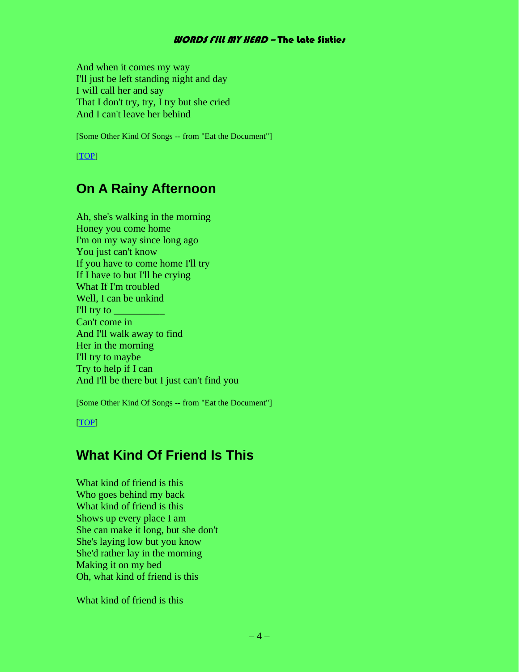And when it comes my way I'll just be left standing night and day I will call her and say That I don't try, try, I try but she cried And I can't leave her behind

[Some Other Kind Of Songs -- from "Eat the Document"]

[\[TOP\]](#page-0-1)

## <span id="page-3-0"></span>**On A Rainy Afternoon**

| Ah, she's walking in the morning            |
|---------------------------------------------|
| Honey you come home                         |
| I'm on my way since long ago                |
| You just can't know                         |
| If you have to come home I'll try           |
| If I have to but I'll be crying             |
| What If I'm troubled                        |
| Well, I can be unkind                       |
| I'll try to $\overline{\phantom{a}}$        |
| Can't come in                               |
| And I'll walk away to find                  |
| Her in the morning                          |
| I'll try to maybe                           |
| Try to help if I can                        |
| And I'll be there but I just can't find you |
|                                             |

[Some Other Kind Of Songs -- from "Eat the Document"]

[\[TOP\]](#page-0-1)

## <span id="page-3-1"></span>**What Kind Of Friend Is This**

What kind of friend is this Who goes behind my back What kind of friend is this Shows up every place I am She can make it long, but she don't She's laying low but you know She'd rather lay in the morning Making it on my bed Oh, what kind of friend is this

What kind of friend is this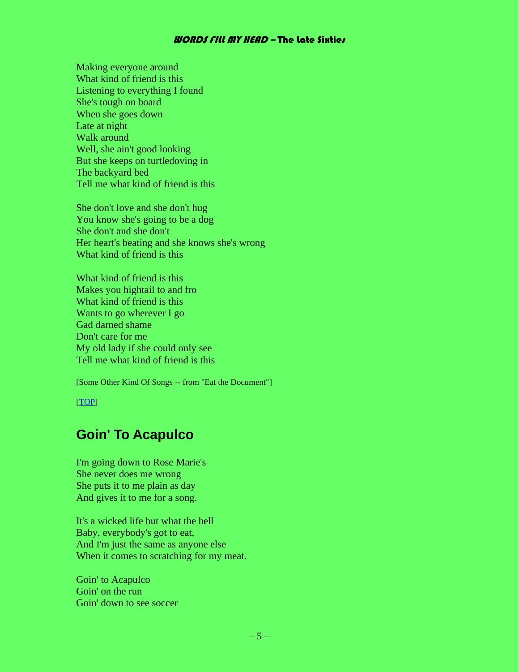Making everyone around What kind of friend is this Listening to everything I found She's tough on board When she goes down Late at night Walk around Well, she ain't good looking But she keeps on turtledoving in The backyard bed Tell me what kind of friend is this

She don't love and she don't hug You know she's going to be a dog She don't and she don't Her heart's beating and she knows she's wrong What kind of friend is this

What kind of friend is this Makes you hightail to and fro What kind of friend is this Wants to go wherever I go Gad darned shame Don't care for me My old lady if she could only see Tell me what kind of friend is this

[Some Other Kind Of Songs -- from "Eat the Document"]

[\[TOP\]](#page-0-1)

## <span id="page-4-0"></span>**Goin' To Acapulco**

I'm going down to Rose Marie's She never does me wrong She puts it to me plain as day And gives it to me for a song.

It's a wicked life but what the hell Baby, everybody's got to eat, And I'm just the same as anyone else When it comes to scratching for my meat.

Goin' to Acapulco Goin' on the run Goin' down to see soccer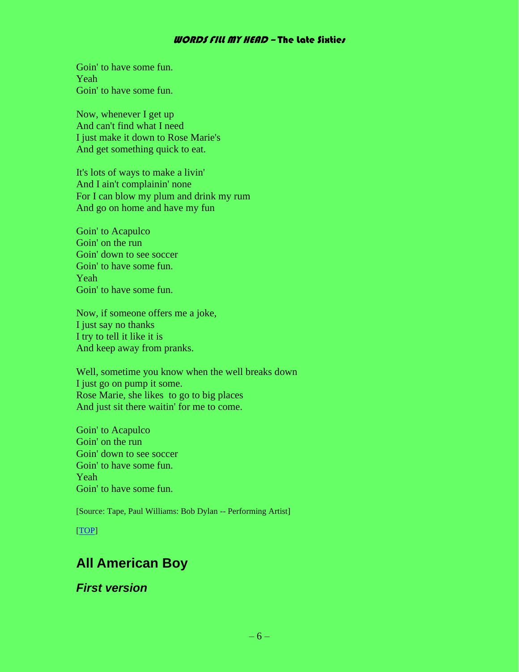Goin' to have some fun. Yeah Goin' to have some fun.

Now, whenever I get up And can't find what I need I just make it down to Rose Marie's And get something quick to eat.

It's lots of ways to make a livin' And I ain't complainin' none For I can blow my plum and drink my rum And go on home and have my fun

Goin' to Acapulco Goin' on the run Goin' down to see soccer Goin' to have some fun. Yeah Goin' to have some fun.

Now, if someone offers me a joke, I just say no thanks I try to tell it like it is And keep away from pranks.

Well, sometime you know when the well breaks down I just go on pump it some. Rose Marie, she likes to go to big places And just sit there waitin' for me to come.

Goin' to Acapulco Goin' on the run Goin' down to see soccer Goin' to have some fun. Yeah Goin' to have some fun.

[Source: Tape, Paul Williams: Bob Dylan -- Performing Artist]

[\[TOP\]](#page-0-1)

## <span id="page-5-0"></span>**All American Boy**

<span id="page-5-1"></span>*First version*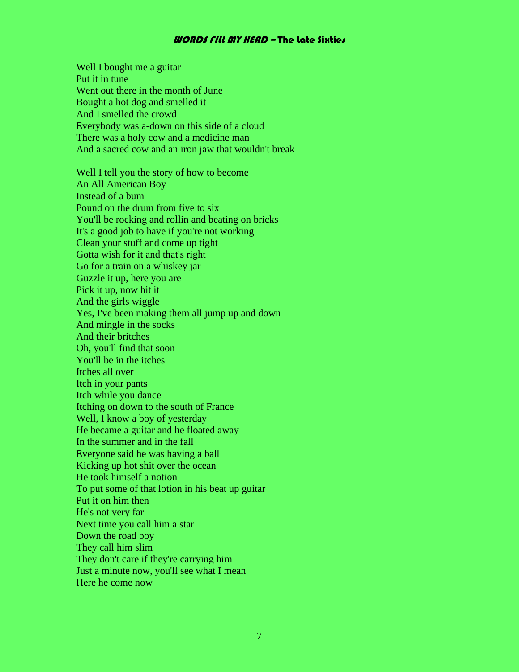Put it in tune Went out there in the month of June Bought a hot dog and smelled it And I smelled the crowd Everybody was a-down on this side of a cloud There was a holy cow and a medicine man And a sacred cow and an iron jaw that wouldn't break Well I tell you the story of how to become An All American Boy Instead of a bum Pound on the drum from five to six You'll be rocking and rollin and beating on bricks It's a good job to have if you're not working Clean your stuff and come up tight Gotta wish for it and that's right Go for a train on a whiskey jar Guzzle it up, here you are Pick it up, now hit it And the girls wiggle Yes, I've been making them all jump up and down And mingle in the socks And their britches Oh, you'll find that soon You'll be in the itches Itches all over Itch in your pants Itch while you dance Itching on down to the south of France Well, I know a boy of yesterday He became a guitar and he floated away In the summer and in the fall Everyone said he was having a ball Kicking up hot shit over the ocean He took himself a notion To put some of that lotion in his beat up guitar Put it on him then He's not very far Next time you call him a star Down the road boy They call him slim They don't care if they're carrying him Just a minute now, you'll see what I mean Here he come now

Well I bought me a guitar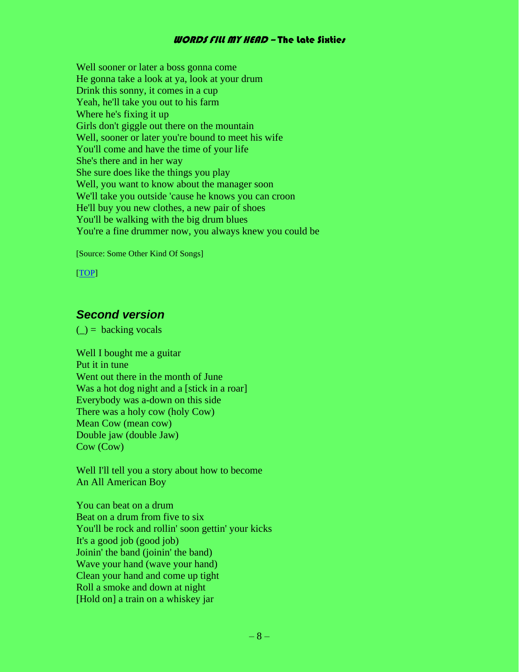Well sooner or later a boss gonna come He gonna take a look at ya, look at your drum Drink this sonny, it comes in a cup Yeah, he'll take you out to his farm Where he's fixing it up Girls don't giggle out there on the mountain Well, sooner or later you're bound to meet his wife You'll come and have the time of your life She's there and in her way She sure does like the things you play Well, you want to know about the manager soon We'll take you outside 'cause he knows you can croon He'll buy you new clothes, a new pair of shoes You'll be walking with the big drum blues You're a fine drummer now, you always knew you could be

[Source: Some Other Kind Of Songs]

[\[TOP\]](#page-0-1)

### <span id="page-7-0"></span>*Second version*

 $($  = backing vocals

Well I bought me a guitar Put it in tune Went out there in the month of June Was a hot dog night and a [stick in a roar] Everybody was a-down on this side There was a holy cow (holy Cow) Mean Cow (mean cow) Double jaw (double Jaw) Cow (Cow)

Well I'll tell you a story about how to become An All American Boy

You can beat on a drum Beat on a drum from five to six You'll be rock and rollin' soon gettin' your kicks It's a good job (good job) Joinin' the band (joinin' the band) Wave your hand (wave your hand) Clean your hand and come up tight Roll a smoke and down at night [Hold on] a train on a whiskey jar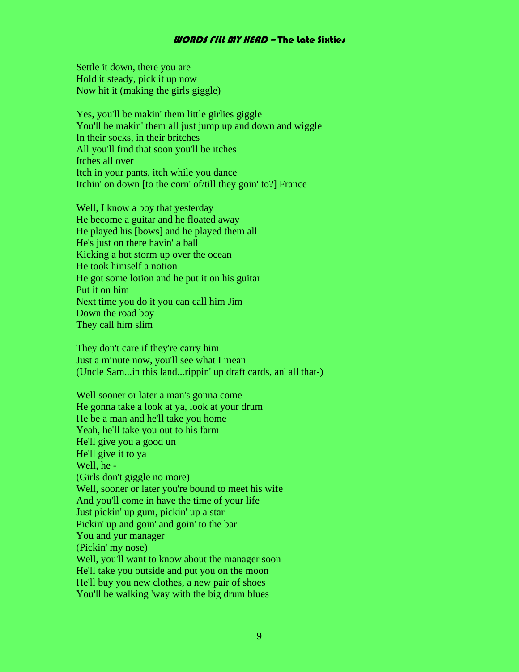Settle it down, there you are Hold it steady, pick it up now Now hit it (making the girls giggle)

Yes, you'll be makin' them little girlies giggle You'll be makin' them all just jump up and down and wiggle In their socks, in their britches All you'll find that soon you'll be itches Itches all over Itch in your pants, itch while you dance Itchin' on down [to the corn' of/till they goin' to?] France

Well, I know a boy that yesterday He become a guitar and he floated away He played his [bows] and he played them all He's just on there havin' a ball Kicking a hot storm up over the ocean He took himself a notion He got some lotion and he put it on his guitar Put it on him Next time you do it you can call him Jim Down the road boy They call him slim

They don't care if they're carry him Just a minute now, you'll see what I mean (Uncle Sam...in this land...rippin' up draft cards, an' all that-)

Well sooner or later a man's gonna come He gonna take a look at ya, look at your drum He be a man and he'll take you home Yeah, he'll take you out to his farm He'll give you a good un He'll give it to ya Well, he - (Girls don't giggle no more) Well, sooner or later you're bound to meet his wife And you'll come in have the time of your life Just pickin' up gum, pickin' up a star Pickin' up and goin' and goin' to the bar You and yur manager (Pickin' my nose) Well, you'll want to know about the manager soon He'll take you outside and put you on the moon He'll buy you new clothes, a new pair of shoes You'll be walking 'way with the big drum blues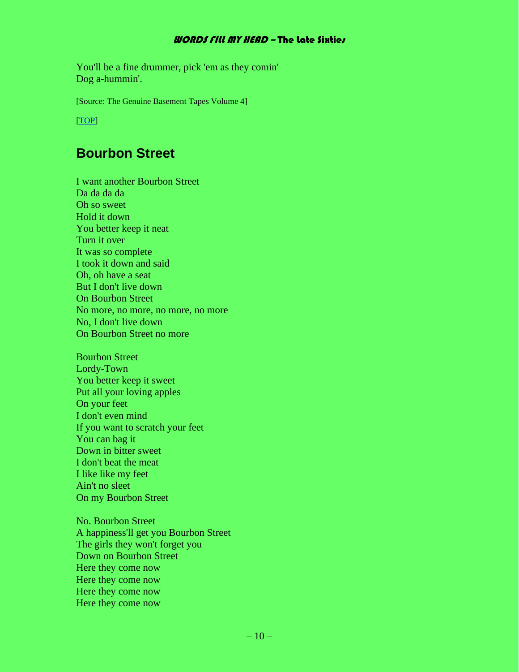You'll be a fine drummer, pick 'em as they comin' Dog a-hummin'.

[Source: The Genuine Basement Tapes Volume 4]

[\[TOP\]](#page-0-1)

### <span id="page-9-0"></span>**Bourbon Street**

I want another Bourbon Street Da da da da Oh so sweet Hold it down You better keep it neat Turn it over It was so complete I took it down and said Oh, oh have a seat But I don't live down On Bourbon Street No more, no more, no more, no more No, I don't live down On Bourbon Street no more

Bourbon Street Lordy-Town You better keep it sweet Put all your loving apples On your feet I don't even mind If you want to scratch your feet You can bag it Down in bitter sweet I don't beat the meat I like like my feet Ain't no sleet On my Bourbon Street

No. Bourbon Street A happiness'll get you Bourbon Street The girls they won't forget you Down on Bourbon Street Here they come now Here they come now Here they come now Here they come now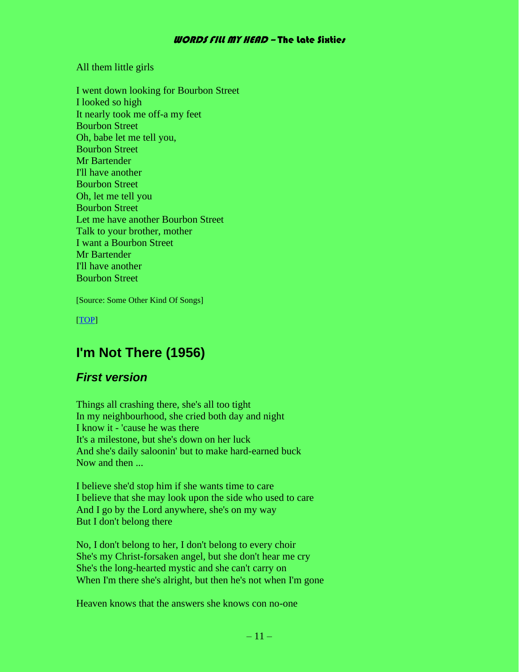All them little girls

I went down looking for Bourbon Street I looked so high It nearly took me off-a my feet Bourbon Street Oh, babe let me tell you, Bourbon Street Mr Bartender I'll have another Bourbon Street Oh, let me tell you Bourbon Street Let me have another Bourbon Street Talk to your brother, mother I want a Bourbon Street Mr Bartender I'll have another Bourbon Street

[Source: Some Other Kind Of Songs]

[\[TOP\]](#page-0-1)

## <span id="page-10-0"></span>**I'm Not There (1956)**

### <span id="page-10-1"></span>*First version*

Things all crashing there, she's all too tight In my neighbourhood, she cried both day and night I know it - 'cause he was there It's a milestone, but she's down on her luck And she's daily saloonin' but to make hard-earned buck Now and then ...

I believe she'd stop him if she wants time to care I believe that she may look upon the side who used to care And I go by the Lord anywhere, she's on my way But I don't belong there

No, I don't belong to her, I don't belong to every choir She's my Christ-forsaken angel, but she don't hear me cry She's the long-hearted mystic and she can't carry on When I'm there she's alright, but then he's not when I'm gone

Heaven knows that the answers she knows con no-one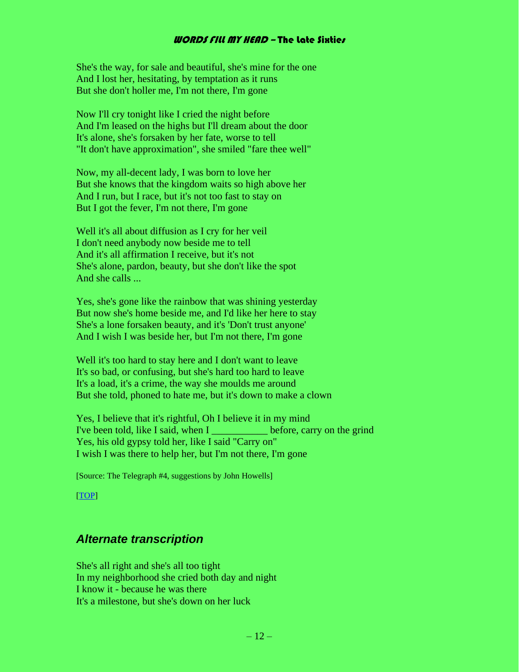### WORDS FILL MY HEAD – The late Sixties

She's the way, for sale and beautiful, she's mine for the one And I lost her, hesitating, by temptation as it runs But she don't holler me, I'm not there, I'm gone

Now I'll cry tonight like I cried the night before And I'm leased on the highs but I'll dream about the door It's alone, she's forsaken by her fate, worse to tell "It don't have approximation", she smiled "fare thee well"

Now, my all-decent lady, I was born to love her But she knows that the kingdom waits so high above her And I run, but I race, but it's not too fast to stay on But I got the fever, I'm not there, I'm gone

Well it's all about diffusion as I cry for her veil I don't need anybody now beside me to tell And it's all affirmation I receive, but it's not She's alone, pardon, beauty, but she don't like the spot And she calls ...

Yes, she's gone like the rainbow that was shining yesterday But now she's home beside me, and I'd like her here to stay She's a lone forsaken beauty, and it's 'Don't trust anyone' And I wish I was beside her, but I'm not there, I'm gone

Well it's too hard to stay here and I don't want to leave It's so bad, or confusing, but she's hard too hard to leave It's a load, it's a crime, the way she moulds me around But she told, phoned to hate me, but it's down to make a clown

Yes, I believe that it's rightful, Oh I believe it in my mind I've been told, like I said, when I before, carry on the grind Yes, his old gypsy told her, like I said "Carry on" I wish I was there to help her, but I'm not there, I'm gone

[Source: The Telegraph #4, suggestions by John Howells]

[\[TOP\]](#page-0-1)

### <span id="page-11-0"></span>*Alternate transcription*

She's all right and she's all too tight In my neighborhood she cried both day and night I know it - because he was there It's a milestone, but she's down on her luck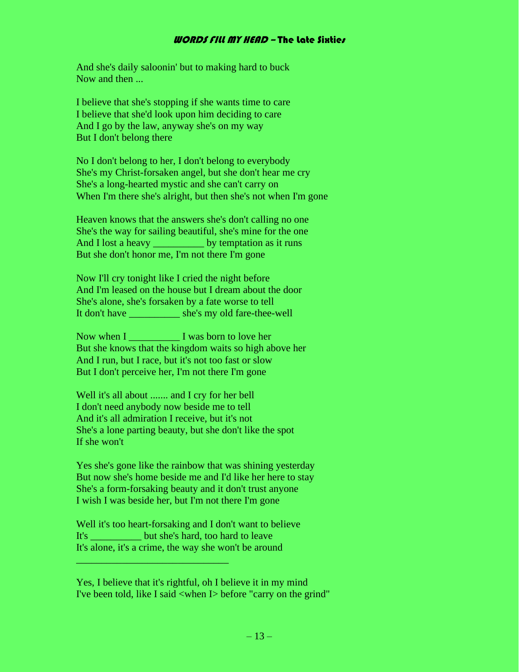### WORDS FILL MY HEAD – The late Sixties

And she's daily saloonin' but to making hard to buck Now and then ...

I believe that she's stopping if she wants time to care I believe that she'd look upon him deciding to care And I go by the law, anyway she's on my way But I don't belong there

No I don't belong to her, I don't belong to everybody She's my Christ-forsaken angel, but she don't hear me cry She's a long-hearted mystic and she can't carry on When I'm there she's alright, but then she's not when I'm gone

Heaven knows that the answers she's don't calling no one She's the way for sailing beautiful, she's mine for the one And I lost a heavy by temptation as it runs But she don't honor me, I'm not there I'm gone

Now I'll cry tonight like I cried the night before And I'm leased on the house but I dream about the door She's alone, she's forsaken by a fate worse to tell It don't have \_\_\_\_\_\_\_\_\_\_ she's my old fare-thee-well

Now when I l was born to love her But she knows that the kingdom waits so high above her And I run, but I race, but it's not too fast or slow But I don't perceive her, I'm not there I'm gone

Well it's all about ....... and I cry for her bell I don't need anybody now beside me to tell And it's all admiration I receive, but it's not She's a lone parting beauty, but she don't like the spot If she won't

Yes she's gone like the rainbow that was shining yesterday But now she's home beside me and I'd like her here to stay She's a form-forsaking beauty and it don't trust anyone I wish I was beside her, but I'm not there I'm gone

Well it's too heart-forsaking and I don't want to believe It's but she's hard, too hard to leave It's alone, it's a crime, the way she won't be around

\_\_\_\_\_\_\_\_\_\_\_\_\_\_\_\_\_\_\_\_\_\_\_\_\_\_\_\_\_\_

Yes, I believe that it's rightful, oh I believe it in my mind I've been told, like I said <when I> before "carry on the grind"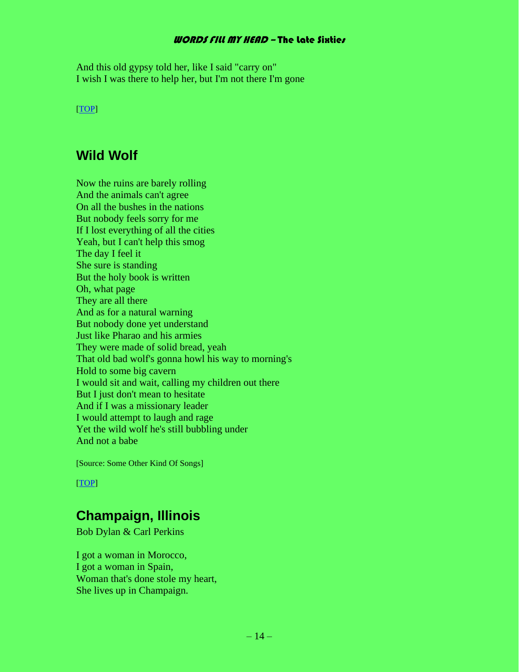And this old gypsy told her, like I said "carry on" I wish I was there to help her, but I'm not there I'm gone

[\[TOP\]](#page-0-1)

## <span id="page-13-0"></span>**Wild Wolf**

Now the ruins are barely rolling And the animals can't agree On all the bushes in the nations But nobody feels sorry for me If I lost everything of all the cities Yeah, but I can't help this smog The day I feel it She sure is standing But the holy book is written Oh, what page They are all there And as for a natural warning But nobody done yet understand Just like Pharao and his armies They were made of solid bread, yeah That old bad wolf's gonna howl his way to morning's Hold to some big cavern I would sit and wait, calling my children out there But I just don't mean to hesitate And if I was a missionary leader I would attempt to laugh and rage Yet the wild wolf he's still bubbling under And not a babe

[Source: Some Other Kind Of Songs]

[\[TOP\]](#page-0-1)

## <span id="page-13-1"></span>**Champaign, Illinois**

Bob Dylan & Carl Perkins

I got a woman in Morocco, I got a woman in Spain, Woman that's done stole my heart, She lives up in Champaign.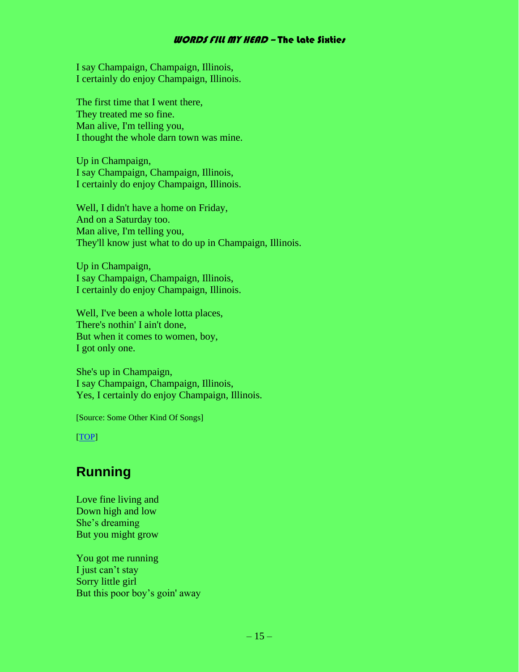I say Champaign, Champaign, Illinois, I certainly do enjoy Champaign, Illinois.

The first time that I went there, They treated me so fine. Man alive, I'm telling you, I thought the whole darn town was mine.

Up in Champaign, I say Champaign, Champaign, Illinois, I certainly do enjoy Champaign, Illinois.

Well, I didn't have a home on Friday, And on a Saturday too. Man alive, I'm telling you, They'll know just what to do up in Champaign, Illinois.

Up in Champaign, I say Champaign, Champaign, Illinois, I certainly do enjoy Champaign, Illinois.

Well, I've been a whole lotta places, There's nothin' I ain't done, But when it comes to women, boy, I got only one.

She's up in Champaign, I say Champaign, Champaign, Illinois, Yes, I certainly do enjoy Champaign, Illinois.

[Source: Some Other Kind Of Songs]

[\[TOP\]](#page-0-1)

# <span id="page-14-0"></span>**Running**

Love fine living and Down high and low She's dreaming But you might grow

You got me running I just can't stay Sorry little girl But this poor boy's goin' away